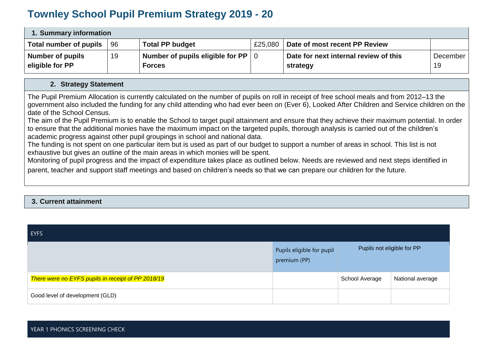## **Townley School Pupil Premium Strategy 2019 - 20**

| 1. Summary information |     |                                  |         |                                       |          |  |
|------------------------|-----|----------------------------------|---------|---------------------------------------|----------|--|
| Total number of pupils | -96 | <b>Total PP budget</b>           | £25,080 | Date of most recent PP Review         |          |  |
| Number of pupils       | 19  | Number of pupils eligible for PP |         | Date for next internal review of this | December |  |
| eligible for PP        |     | <b>Forces</b>                    |         | strategy                              | 19       |  |

## **2. Strategy Statement**

The Pupil Premium Allocation is currently calculated on the number of pupils on roll in receipt of free school meals and from 2012–13 the government also included the funding for any child attending who had ever been on (Ever 6), Looked After Children and Service children on the date of the School Census.

The aim of the Pupil Premium is to enable the School to target pupil attainment and ensure that they achieve their maximum potential. In order to ensure that the additional monies have the maximum impact on the targeted pupils, thorough analysis is carried out of the children's academic progress against other pupil groupings in school and national data.

The funding is not spent on one particular item but is used as part of our budget to support a number of areas in school. This list is not exhaustive but gives an outline of the main areas in which monies will be spent.

Monitoring of pupil progress and the impact of expenditure takes place as outlined below. Needs are reviewed and next steps identified in parent, teacher and support staff meetings and based on children's needs so that we can prepare our children for the future.

## **3. Current attainment**

| <b>EYFS</b>                                        |                                           |                            |                  |
|----------------------------------------------------|-------------------------------------------|----------------------------|------------------|
|                                                    | Pupils eligible for pupil<br>premium (PP) | Pupils not eligible for PP |                  |
| There were no EYFS pupils in receipt of PP 2018/19 |                                           | School Average             | National average |
| Good level of development (GLD)                    |                                           |                            |                  |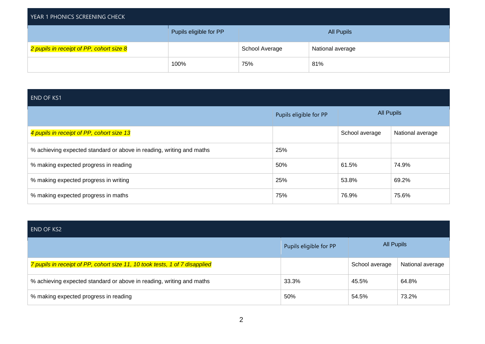| YEAR 1 PHONICS SCREENING CHECK           |                        |                |                   |  |  |  |
|------------------------------------------|------------------------|----------------|-------------------|--|--|--|
|                                          | Pupils eligible for PP |                | <b>All Pupils</b> |  |  |  |
| 2 pupils in receipt of PP, cohort size 8 |                        | School Average | National average  |  |  |  |
|                                          | 100%                   | 75%            | 81%               |  |  |  |

| <b>END OF KS1</b>                                                    |                        |                   |                  |  |  |  |
|----------------------------------------------------------------------|------------------------|-------------------|------------------|--|--|--|
|                                                                      | Pupils eligible for PP | <b>All Pupils</b> |                  |  |  |  |
| 4 pupils in receipt of PP, cohort size 13                            |                        | School average    | National average |  |  |  |
| % achieving expected standard or above in reading, writing and maths | 25%                    |                   |                  |  |  |  |
| % making expected progress in reading                                | 50%                    | 61.5%             | 74.9%            |  |  |  |
| % making expected progress in writing                                | 25%                    | 53.8%             | 69.2%            |  |  |  |
| % making expected progress in maths                                  | 75%                    | 76.9%             | 75.6%            |  |  |  |

| <b>END OF KS2</b>                                                           |                        |                   |                  |
|-----------------------------------------------------------------------------|------------------------|-------------------|------------------|
|                                                                             | Pupils eligible for PP | <b>All Pupils</b> |                  |
| 7 pupils in receipt of PP, cohort size 11, 10 took tests, 1 of 7 disapplied |                        | School average    | National average |
| % achieving expected standard or above in reading, writing and maths        | 33.3%                  | 45.5%             | 64.8%            |
| % making expected progress in reading                                       | 50%                    | 54.5%             | 73.2%            |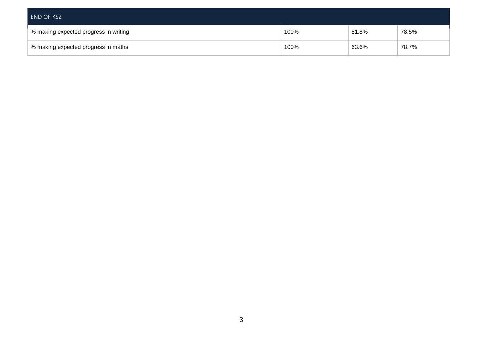| END OF KS2                            |      |       |       |
|---------------------------------------|------|-------|-------|
| % making expected progress in writing | 100% | 81.8% | 78.5% |
| % making expected progress in maths   | 100% | 63.6% | 78.7% |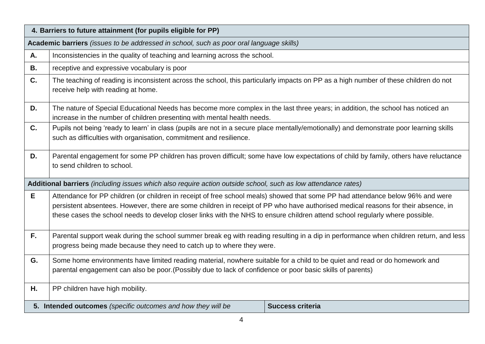|           | 4. Barriers to future attainment (for pupils eligible for PP)                                                                                                                                                                                                                                                                                                                                       |  |  |  |  |  |
|-----------|-----------------------------------------------------------------------------------------------------------------------------------------------------------------------------------------------------------------------------------------------------------------------------------------------------------------------------------------------------------------------------------------------------|--|--|--|--|--|
|           | Academic barriers (issues to be addressed in school, such as poor oral language skills)                                                                                                                                                                                                                                                                                                             |  |  |  |  |  |
| Α.        | Inconsistencies in the quality of teaching and learning across the school.                                                                                                                                                                                                                                                                                                                          |  |  |  |  |  |
| <b>B.</b> | receptive and expressive vocabulary is poor                                                                                                                                                                                                                                                                                                                                                         |  |  |  |  |  |
| C.        | The teaching of reading is inconsistent across the school, this particularly impacts on PP as a high number of these children do not<br>receive help with reading at home.                                                                                                                                                                                                                          |  |  |  |  |  |
| D.        | The nature of Special Educational Needs has become more complex in the last three years; in addition, the school has noticed an<br>increase in the number of children presenting with mental health needs.                                                                                                                                                                                          |  |  |  |  |  |
| C.        | Pupils not being 'ready to learn' in class (pupils are not in a secure place mentally/emotionally) and demonstrate poor learning skills<br>such as difficulties with organisation, commitment and resilience.                                                                                                                                                                                       |  |  |  |  |  |
| D.        | Parental engagement for some PP children has proven difficult; some have low expectations of child by family, others have reluctance<br>to send children to school.                                                                                                                                                                                                                                 |  |  |  |  |  |
|           | Additional barriers (including issues which also require action outside school, such as low attendance rates)                                                                                                                                                                                                                                                                                       |  |  |  |  |  |
| Е         | Attendance for PP children (or children in receipt of free school meals) showed that some PP had attendance below 96% and were<br>persistent absentees. However, there are some children in receipt of PP who have authorised medical reasons for their absence, in<br>these cases the school needs to develop closer links with the NHS to ensure children attend school regularly where possible. |  |  |  |  |  |
| F.        | Parental support weak during the school summer break eg with reading resulting in a dip in performance when children return, and less<br>progress being made because they need to catch up to where they were.                                                                                                                                                                                      |  |  |  |  |  |
| G.        | Some home environments have limited reading material, nowhere suitable for a child to be quiet and read or do homework and<br>parental engagement can also be poor. (Possibly due to lack of confidence or poor basic skills of parents)                                                                                                                                                            |  |  |  |  |  |
| Η.        | PP children have high mobility.                                                                                                                                                                                                                                                                                                                                                                     |  |  |  |  |  |
|           | 5. Intended outcomes (specific outcomes and how they will be<br><b>Success criteria</b>                                                                                                                                                                                                                                                                                                             |  |  |  |  |  |
|           | $\overline{A}$                                                                                                                                                                                                                                                                                                                                                                                      |  |  |  |  |  |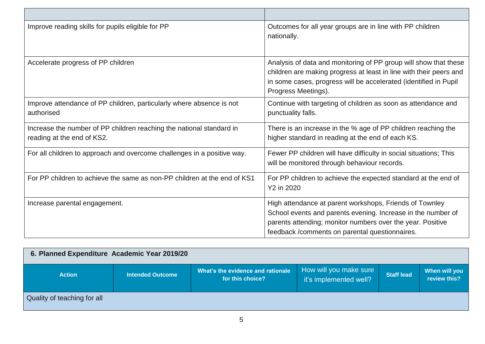| Improve reading skills for pupils eligible for PP                                                  | Outcomes for all year groups are in line with PP children<br>nationally.                                                                                                                                                               |
|----------------------------------------------------------------------------------------------------|----------------------------------------------------------------------------------------------------------------------------------------------------------------------------------------------------------------------------------------|
| Accelerate progress of PP children                                                                 | Analysis of data and monitoring of PP group will show that these<br>children are making progress at least in line with their peers and<br>in some cases, progress will be accelerated (identified in Pupil<br>Progress Meetings).      |
| Improve attendance of PP children, particularly where absence is not<br>authorised                 | Continue with targeting of children as soon as attendance and<br>punctuality falls.                                                                                                                                                    |
| Increase the number of PP children reaching the national standard in<br>reading at the end of KS2. | There is an increase in the % age of PP children reaching the<br>higher standard in reading at the end of each KS.                                                                                                                     |
| For all children to approach and overcome challenges in a positive way.                            | Fewer PP children will have difficulty in social situations; This<br>will be monitored through behaviour records.                                                                                                                      |
| For PP children to achieve the same as non-PP children at the end of KS1                           | For PP children to achieve the expected standard at the end of<br>Y2 in 2020                                                                                                                                                           |
| Increase parental engagement.                                                                      | High attendance at parent workshops, Friends of Townley<br>School events and parents evening. Increase in the number of<br>parents attending; monitor numbers over the year. Positive<br>feedback/comments on parental questionnaires. |

| 6. Planned Expenditure Academic Year 2019/20 |                         |                                                       |                                                  |                   |                               |  |
|----------------------------------------------|-------------------------|-------------------------------------------------------|--------------------------------------------------|-------------------|-------------------------------|--|
| <b>Action</b>                                | <b>Intended Outcome</b> | What's the evidence and rationale<br>for this choice? | How will you make sure<br>it's implemented well? | <b>Staff lead</b> | When will you<br>review this? |  |
| Quality of teaching for all                  |                         |                                                       |                                                  |                   |                               |  |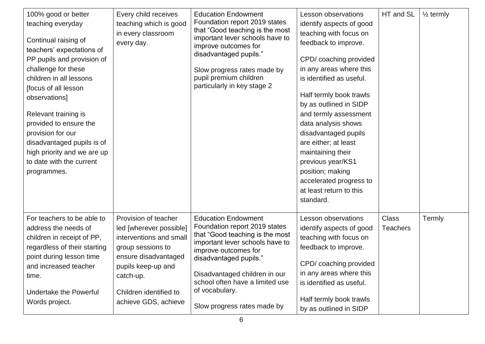| 100% good or better<br>teaching everyday<br>Continual raising of<br>teachers' expectations of<br>PP pupils and provision of<br>challenge for these<br>children in all lessons<br>[focus of all lesson<br>observations]<br>Relevant training is<br>provided to ensure the<br>provision for our<br>disadvantaged pupils is of<br>high priority and we are up<br>to date with the current<br>programmes. | Every child receives<br>teaching which is good<br>in every classroom<br>every day.                                                                                                                           | <b>Education Endowment</b><br>Foundation report 2019 states<br>that "Good teaching is the most<br>important lever schools have to<br>improve outcomes for<br>disadvantaged pupils."<br>Slow progress rates made by<br>pupil premium children<br>particularly in key stage 2                              | Lesson observations<br>identify aspects of good<br>teaching with focus on<br>feedback to improve.<br>CPD/coaching provided<br>in any areas where this<br>is identified as useful.<br>Half termly book trawls<br>by as outlined in SIDP<br>and termly assessment<br>data analysis shows<br>disadvantaged pupils<br>are either; at least<br>maintaining their<br>previous year/KS1<br>position; making<br>accelerated progress to<br>at least return to this<br>standard. | HT and SL                       | $\frac{1}{2}$ termly |
|-------------------------------------------------------------------------------------------------------------------------------------------------------------------------------------------------------------------------------------------------------------------------------------------------------------------------------------------------------------------------------------------------------|--------------------------------------------------------------------------------------------------------------------------------------------------------------------------------------------------------------|----------------------------------------------------------------------------------------------------------------------------------------------------------------------------------------------------------------------------------------------------------------------------------------------------------|-------------------------------------------------------------------------------------------------------------------------------------------------------------------------------------------------------------------------------------------------------------------------------------------------------------------------------------------------------------------------------------------------------------------------------------------------------------------------|---------------------------------|----------------------|
| For teachers to be able to<br>address the needs of<br>children in receipt of PP,<br>regardless of their starting<br>point during lesson time<br>and increased teacher<br>time.<br><b>Undertake the Powerful</b><br>Words project.                                                                                                                                                                     | Provision of teacher<br>led [wherever possible]<br>interventions and small<br>group sessions to<br>ensure disadvantaged<br>pupils keep-up and<br>catch-up.<br>Children identified to<br>achieve GDS, achieve | <b>Education Endowment</b><br>Foundation report 2019 states<br>that "Good teaching is the most<br>important lever schools have to<br>improve outcomes for<br>disadvantaged pupils."<br>Disadvantaged children in our<br>school often have a limited use<br>of vocabulary.<br>Slow progress rates made by | Lesson observations<br>identify aspects of good<br>teaching with focus on<br>feedback to improve.<br>CPD/ coaching provided<br>in any areas where this<br>is identified as useful.<br>Half termly book trawls<br>by as outlined in SIDP                                                                                                                                                                                                                                 | <b>Class</b><br><b>Teachers</b> | Termly               |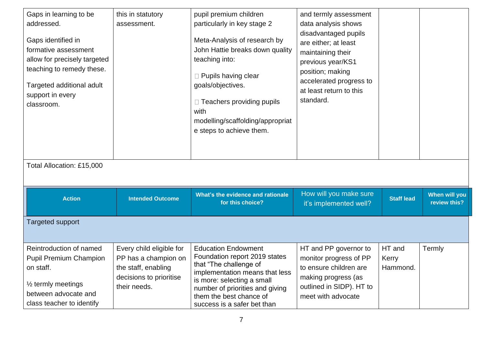| Gaps in learning to be<br>addressed.<br>Gaps identified in<br>formative assessment<br>allow for precisely targeted<br>teaching to remedy these.<br>Targeted additional adult<br>support in every<br>classroom.<br>Total Allocation: £15,000 | this in statutory<br>assessment.                                                                                   | pupil premium children<br>particularly in key stage 2<br>Meta-Analysis of research by<br>John Hattie breaks down quality<br>teaching into:<br>$\Box$ Pupils having clear<br>goals/objectives.<br>□ Teachers providing pupils<br>with<br>modelling/scaffolding/appropriat<br>e steps to achieve them. | and termly assessment<br>data analysis shows<br>disadvantaged pupils<br>are either; at least<br>maintaining their<br>previous year/KS1<br>position; making<br>accelerated progress to<br>at least return to this<br>standard. |                             |                               |
|---------------------------------------------------------------------------------------------------------------------------------------------------------------------------------------------------------------------------------------------|--------------------------------------------------------------------------------------------------------------------|------------------------------------------------------------------------------------------------------------------------------------------------------------------------------------------------------------------------------------------------------------------------------------------------------|-------------------------------------------------------------------------------------------------------------------------------------------------------------------------------------------------------------------------------|-----------------------------|-------------------------------|
| <b>Action</b>                                                                                                                                                                                                                               | <b>Intended Outcome</b>                                                                                            | What's the evidence and rationale<br>for this choice?                                                                                                                                                                                                                                                | How will you make sure<br>it's implemented well?                                                                                                                                                                              | <b>Staff lead</b>           | When will you<br>review this? |
| <b>Targeted support</b>                                                                                                                                                                                                                     |                                                                                                                    |                                                                                                                                                                                                                                                                                                      |                                                                                                                                                                                                                               |                             |                               |
| Reintroduction of named<br><b>Pupil Premium Champion</b><br>on staff.<br>$\frac{1}{2}$ termly meetings<br>between advocate and<br>class teacher to identify                                                                                 | Every child eligible for<br>PP has a champion on<br>the staff, enabling<br>decisions to prioritise<br>their needs. | <b>Education Endowment</b><br>Foundation report 2019 states<br>that "The challenge of<br>implementation means that less<br>is more: selecting a small<br>number of priorities and giving<br>them the best chance of<br>success is a safer bet than                                                   | HT and PP governor to<br>monitor progress of PP<br>to ensure children are<br>making progress (as<br>outlined in SIDP). HT to<br>meet with advocate                                                                            | HT and<br>Kerry<br>Hammond. | Termly                        |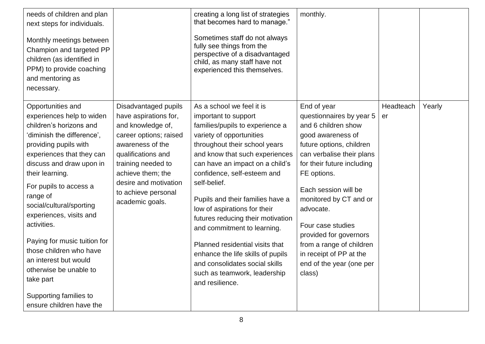| needs of children and plan<br>next steps for individuals.<br>Monthly meetings between<br>Champion and targeted PP<br>children (as identified in<br>PPM) to provide coaching<br>and mentoring as<br>necessary.                                                                                                                                                                                                                                                                                             |                                                                                                                                                                                                                                                      | creating a long list of strategies<br>that becomes hard to manage."<br>Sometimes staff do not always<br>fully see things from the<br>perspective of a disadvantaged<br>child, as many staff have not<br>experienced this themselves.                                                                                                                                                                                                                                                                                                                                       | monthly.                                                                                                                                                                                                                                                                                                                                                                                             |                 |        |
|-----------------------------------------------------------------------------------------------------------------------------------------------------------------------------------------------------------------------------------------------------------------------------------------------------------------------------------------------------------------------------------------------------------------------------------------------------------------------------------------------------------|------------------------------------------------------------------------------------------------------------------------------------------------------------------------------------------------------------------------------------------------------|----------------------------------------------------------------------------------------------------------------------------------------------------------------------------------------------------------------------------------------------------------------------------------------------------------------------------------------------------------------------------------------------------------------------------------------------------------------------------------------------------------------------------------------------------------------------------|------------------------------------------------------------------------------------------------------------------------------------------------------------------------------------------------------------------------------------------------------------------------------------------------------------------------------------------------------------------------------------------------------|-----------------|--------|
| Opportunities and<br>experiences help to widen<br>children's horizons and<br>'diminish the difference',<br>providing pupils with<br>experiences that they can<br>discuss and draw upon in<br>their learning.<br>For pupils to access a<br>range of<br>social/cultural/sporting<br>experiences, visits and<br>activities.<br>Paying for music tuition for<br>those children who have<br>an interest but would<br>otherwise be unable to<br>take part<br>Supporting families to<br>ensure children have the | Disadvantaged pupils<br>have aspirations for,<br>and knowledge of,<br>career options; raised<br>awareness of the<br>qualifications and<br>training needed to<br>achieve them; the<br>desire and motivation<br>to achieve personal<br>academic goals. | As a school we feel it is<br>important to support<br>families/pupils to experience a<br>variety of opportunities<br>throughout their school years<br>and know that such experiences<br>can have an impact on a child's<br>confidence, self-esteem and<br>self-belief.<br>Pupils and their families have a<br>low of aspirations for their<br>futures reducing their motivation<br>and commitment to learning.<br>Planned residential visits that<br>enhance the life skills of pupils<br>and consolidates social skills<br>such as teamwork, leadership<br>and resilience. | End of year<br>questionnaires by year 5<br>and 6 children show<br>good awareness of<br>future options, children<br>can verbalise their plans<br>for their future including<br>FE options.<br>Each session will be<br>monitored by CT and or<br>advocate.<br>Four case studies<br>provided for governors<br>from a range of children<br>in receipt of PP at the<br>end of the year (one per<br>class) | Headteach<br>er | Yearly |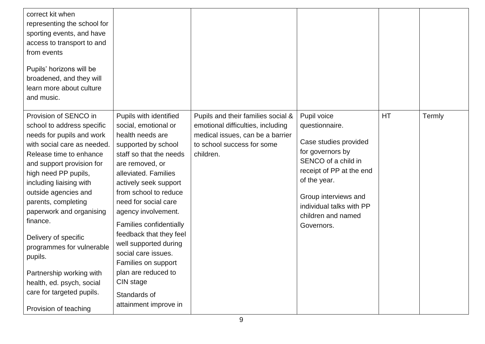| correct kit when<br>representing the school for<br>sporting events, and have<br>access to transport to and<br>from events<br>Pupils' horizons will be<br>broadened, and they will<br>learn more about culture<br>and music.                                                                                                                                                                                                                                                                      |                                                                                                                                                                                                                                                                                                                                                                                                                                                                            |                                                                                                                                                        |                                                                                                                                                                                                                                       |    |        |
|--------------------------------------------------------------------------------------------------------------------------------------------------------------------------------------------------------------------------------------------------------------------------------------------------------------------------------------------------------------------------------------------------------------------------------------------------------------------------------------------------|----------------------------------------------------------------------------------------------------------------------------------------------------------------------------------------------------------------------------------------------------------------------------------------------------------------------------------------------------------------------------------------------------------------------------------------------------------------------------|--------------------------------------------------------------------------------------------------------------------------------------------------------|---------------------------------------------------------------------------------------------------------------------------------------------------------------------------------------------------------------------------------------|----|--------|
| Provision of SENCO in<br>school to address specific<br>needs for pupils and work<br>with social care as needed.<br>Release time to enhance<br>and support provision for<br>high need PP pupils,<br>including liaising with<br>outside agencies and<br>parents, completing<br>paperwork and organising<br>finance.<br>Delivery of specific<br>programmes for vulnerable<br>pupils.<br>Partnership working with<br>health, ed. psych, social<br>care for targeted pupils.<br>Provision of teaching | Pupils with identified<br>social, emotional or<br>health needs are<br>supported by school<br>staff so that the needs<br>are removed, or<br>alleviated. Families<br>actively seek support<br>from school to reduce<br>need for social care<br>agency involvement.<br>Families confidentially<br>feedback that they feel<br>well supported during<br>social care issues.<br>Families on support<br>plan are reduced to<br>CIN stage<br>Standards of<br>attainment improve in | Pupils and their families social &<br>emotional difficulties, including<br>medical issues, can be a barrier<br>to school success for some<br>children. | Pupil voice<br>questionnaire.<br>Case studies provided<br>for governors by<br>SENCO of a child in<br>receipt of PP at the end<br>of the year.<br>Group interviews and<br>individual talks with PP<br>children and named<br>Governors. | HT | Termly |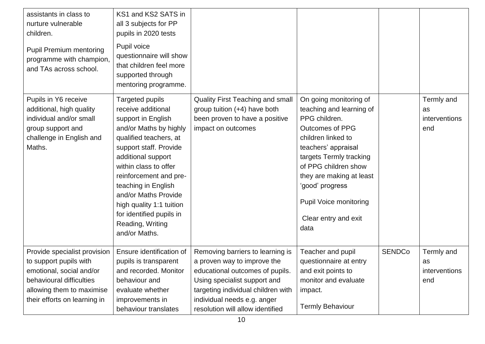| assistants in class to<br>nurture vulnerable<br>children.<br><b>Pupil Premium mentoring</b><br>programme with champion,<br>and TAs across school.                           | KS1 and KS2 SATS in<br>all 3 subjects for PP<br>pupils in 2020 tests<br>Pupil voice<br>questionnaire will show<br>that children feel more<br>supported through<br>mentoring programme.                                                                                                                                                                         |                                                                                                                                                                                                                                             |                                                                                                                                                                                                                                                                                                               |               |                                          |
|-----------------------------------------------------------------------------------------------------------------------------------------------------------------------------|----------------------------------------------------------------------------------------------------------------------------------------------------------------------------------------------------------------------------------------------------------------------------------------------------------------------------------------------------------------|---------------------------------------------------------------------------------------------------------------------------------------------------------------------------------------------------------------------------------------------|---------------------------------------------------------------------------------------------------------------------------------------------------------------------------------------------------------------------------------------------------------------------------------------------------------------|---------------|------------------------------------------|
| Pupils in Y6 receive<br>additional, high quality<br>individual and/or small<br>group support and<br>challenge in English and<br>Maths.                                      | Targeted pupils<br>receive additional<br>support in English<br>and/or Maths by highly<br>qualified teachers, at<br>support staff. Provide<br>additional support<br>within class to offer<br>reinforcement and pre-<br>teaching in English<br>and/or Maths Provide<br>high quality 1:1 tuition<br>for identified pupils in<br>Reading, Writing<br>and/or Maths. | <b>Quality First Teaching and small</b><br>group tuition (+4) have both<br>been proven to have a positive<br>impact on outcomes                                                                                                             | On going monitoring of<br>teaching and learning of<br>PPG children.<br><b>Outcomes of PPG</b><br>children linked to<br>teachers' appraisal<br>targets Termly tracking<br>of PPG children show<br>they are making at least<br>'good' progress<br><b>Pupil Voice monitoring</b><br>Clear entry and exit<br>data |               | Termly and<br>as<br>interventions<br>end |
| Provide specialist provision<br>to support pupils with<br>emotional, social and/or<br>behavioural difficulties<br>allowing them to maximise<br>their efforts on learning in | Ensure identification of<br>pupils is transparent<br>and recorded. Monitor<br>behaviour and<br>evaluate whether<br>improvements in<br>behaviour translates                                                                                                                                                                                                     | Removing barriers to learning is<br>a proven way to improve the<br>educational outcomes of pupils.<br>Using specialist support and<br>targeting individual children with<br>individual needs e.g. anger<br>resolution will allow identified | Teacher and pupil<br>questionnaire at entry<br>and exit points to<br>monitor and evaluate<br>impact.<br><b>Termly Behaviour</b>                                                                                                                                                                               | <b>SENDCo</b> | Termly and<br>as<br>interventions<br>end |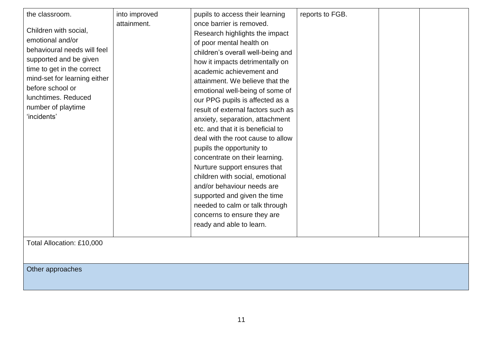| the classroom.               |               |                                    |                 |  |
|------------------------------|---------------|------------------------------------|-----------------|--|
|                              | into improved | pupils to access their learning    | reports to FGB. |  |
| Children with social,        | attainment.   | once barrier is removed.           |                 |  |
| emotional and/or             |               | Research highlights the impact     |                 |  |
|                              |               | of poor mental health on           |                 |  |
| behavioural needs will feel  |               | children's overall well-being and  |                 |  |
| supported and be given       |               | how it impacts detrimentally on    |                 |  |
| time to get in the correct   |               | academic achievement and           |                 |  |
| mind-set for learning either |               | attainment. We believe that the    |                 |  |
| before school or             |               | emotional well-being of some of    |                 |  |
| lunchtimes, Reduced          |               | our PPG pupils is affected as a    |                 |  |
| number of playtime           |               | result of external factors such as |                 |  |
| 'incidents'                  |               | anxiety, separation, attachment    |                 |  |
|                              |               | etc. and that it is beneficial to  |                 |  |
|                              |               | deal with the root cause to allow  |                 |  |
|                              |               | pupils the opportunity to          |                 |  |
|                              |               | concentrate on their learning.     |                 |  |
|                              |               |                                    |                 |  |
|                              |               | Nurture support ensures that       |                 |  |
|                              |               | children with social, emotional    |                 |  |
|                              |               | and/or behaviour needs are         |                 |  |
|                              |               | supported and given the time       |                 |  |
|                              |               | needed to calm or talk through     |                 |  |
|                              |               | concerns to ensure they are        |                 |  |
|                              |               | ready and able to learn.           |                 |  |
|                              |               |                                    |                 |  |
| Total Allocation: £10,000    |               |                                    |                 |  |
|                              |               |                                    |                 |  |
|                              |               |                                    |                 |  |
| Other approaches             |               |                                    |                 |  |
|                              |               |                                    |                 |  |
|                              |               |                                    |                 |  |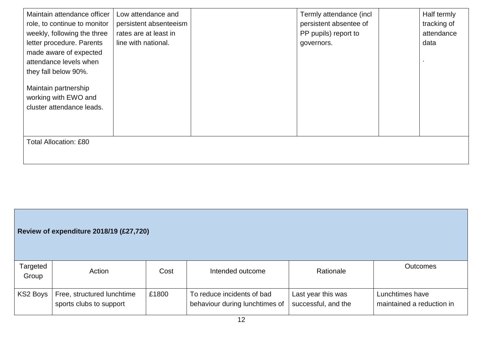| Maintain attendance officer<br>role, to continue to monitor<br>weekly, following the three<br>letter procedure. Parents<br>made aware of expected<br>attendance levels when<br>they fall below 90%.<br>Maintain partnership<br>working with EWO and<br>cluster attendance leads. | Low attendance and<br>persistent absenteeism<br>rates are at least in<br>line with national. | Termly attendance (incl<br>persistent absentee of<br>PP pupils) report to<br>governors. | Half termly<br>tracking of<br>attendance<br>data |
|----------------------------------------------------------------------------------------------------------------------------------------------------------------------------------------------------------------------------------------------------------------------------------|----------------------------------------------------------------------------------------------|-----------------------------------------------------------------------------------------|--------------------------------------------------|
|                                                                                                                                                                                                                                                                                  |                                                                                              |                                                                                         |                                                  |
| <b>Total Allocation: £80</b>                                                                                                                                                                                                                                                     |                                                                                              |                                                                                         |                                                  |

## **Review of expenditure 2018/19 (£27,720)**

| Targeted<br>Group | Action                                                | Cost  | Intended outcome                                             | Rationale                                 | Outcomes                                     |
|-------------------|-------------------------------------------------------|-------|--------------------------------------------------------------|-------------------------------------------|----------------------------------------------|
| KS2 Boys          | Free, structured lunchtime<br>sports clubs to support | £1800 | To reduce incidents of bad<br>behaviour during lunchtimes of | Last year this was<br>successful, and the | Lunchtimes have<br>maintained a reduction in |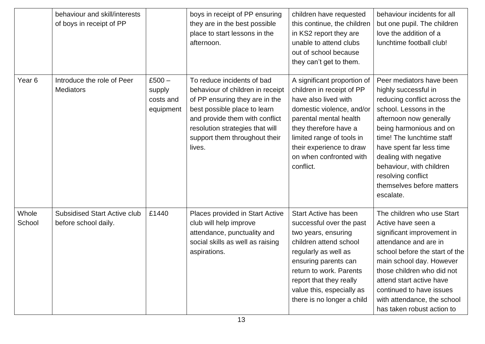|                   | behaviour and skill/interests<br>of boys in receipt of PP   |                                              | boys in receipt of PP ensuring<br>they are in the best possible<br>place to start lessons in the<br>afternoon.                                                                                                                                   | children have requested<br>this continue, the children<br>in KS2 report they are<br>unable to attend clubs<br>out of school because<br>they can't get to them.                                                                                                      | behaviour incidents for all<br>but one pupil. The children<br>love the addition of a<br>lunchtime football club!                                                                                                                                                                                                                               |
|-------------------|-------------------------------------------------------------|----------------------------------------------|--------------------------------------------------------------------------------------------------------------------------------------------------------------------------------------------------------------------------------------------------|---------------------------------------------------------------------------------------------------------------------------------------------------------------------------------------------------------------------------------------------------------------------|------------------------------------------------------------------------------------------------------------------------------------------------------------------------------------------------------------------------------------------------------------------------------------------------------------------------------------------------|
| Year <sub>6</sub> | Introduce the role of Peer<br><b>Mediators</b>              | $£500 -$<br>supply<br>costs and<br>equipment | To reduce incidents of bad<br>behaviour of children in receipt<br>of PP ensuring they are in the<br>best possible place to learn<br>and provide them with conflict<br>resolution strategies that will<br>support them throughout their<br>lives. | A significant proportion of<br>children in receipt of PP<br>have also lived with<br>domestic violence, and/or<br>parental mental health<br>they therefore have a<br>limited range of tools in<br>their experience to draw<br>on when confronted with<br>conflict.   | Peer mediators have been<br>highly successful in<br>reducing conflict across the<br>school. Lessons in the<br>afternoon now generally<br>being harmonious and on<br>time! The lunchtime staff<br>have spent far less time<br>dealing with negative<br>behaviour, with children<br>resolving conflict<br>themselves before matters<br>escalate. |
| Whole<br>School   | <b>Subsidised Start Active club</b><br>before school daily. | £1440                                        | Places provided in Start Active<br>club will help improve<br>attendance, punctuality and<br>social skills as well as raising<br>aspirations.                                                                                                     | Start Active has been<br>successful over the past<br>two years, ensuring<br>children attend school<br>regularly as well as<br>ensuring parents can<br>return to work. Parents<br>report that they really<br>value this, especially as<br>there is no longer a child | The children who use Start<br>Active have seen a<br>significant improvement in<br>attendance and are in<br>school before the start of the<br>main school day. However<br>those children who did not<br>attend start active have<br>continued to have issues<br>with attendance, the school<br>has taken robust action to                       |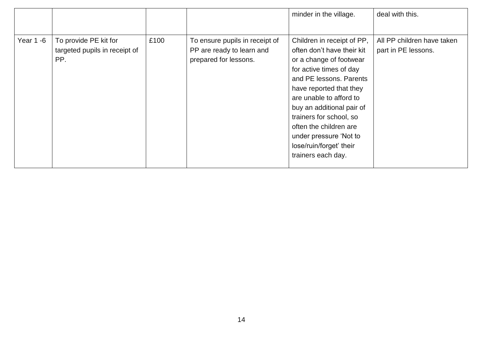|           |                                                               |      |                                                                                      | minder in the village.                                                                                                                                                                                                                                                                                                                                       | deal with this.                                   |
|-----------|---------------------------------------------------------------|------|--------------------------------------------------------------------------------------|--------------------------------------------------------------------------------------------------------------------------------------------------------------------------------------------------------------------------------------------------------------------------------------------------------------------------------------------------------------|---------------------------------------------------|
| Year 1 -6 | To provide PE kit for<br>targeted pupils in receipt of<br>PP. | £100 | To ensure pupils in receipt of<br>PP are ready to learn and<br>prepared for lessons. | Children in receipt of PP,<br>often don't have their kit<br>or a change of footwear<br>for active times of day<br>and PE lessons. Parents<br>have reported that they<br>are unable to afford to<br>buy an additional pair of<br>trainers for school, so<br>often the children are<br>under pressure 'Not to<br>lose/ruin/forget' their<br>trainers each day. | All PP children have taken<br>part in PE lessons. |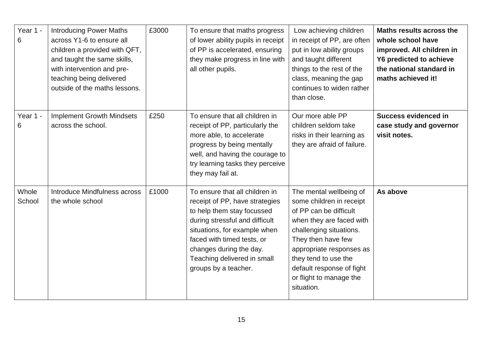| Year 1 -<br>6   | <b>Introducing Power Maths</b><br>across Y1-6 to ensure all<br>children a provided with QFT,<br>and taught the same skills,<br>with intervention and pre-<br>teaching being delivered<br>outside of the maths lessons. | £3000 | To ensure that maths progress<br>of lower ability pupils in receipt<br>of PP is accelerated, ensuring<br>they make progress in line with<br>all other pupils.                                                                                                                    | Low achieving children<br>in receipt of PP, are often<br>put in low ability groups<br>and taught different<br>things to the rest of the<br>class, meaning the gap<br>continues to widen rather<br>than close.                                                                        | Maths results across the<br>whole school have<br>improved. All children in<br><b>Y6 predicted to achieve</b><br>the national standard in<br>maths achieved it! |
|-----------------|------------------------------------------------------------------------------------------------------------------------------------------------------------------------------------------------------------------------|-------|----------------------------------------------------------------------------------------------------------------------------------------------------------------------------------------------------------------------------------------------------------------------------------|--------------------------------------------------------------------------------------------------------------------------------------------------------------------------------------------------------------------------------------------------------------------------------------|----------------------------------------------------------------------------------------------------------------------------------------------------------------|
| Year 1 -<br>6   | <b>Implement Growth Mindsets</b><br>across the school.                                                                                                                                                                 | £250  | To ensure that all children in<br>receipt of PP, particularly the<br>more able, to accelerate<br>progress by being mentally<br>well, and having the courage to<br>try learning tasks they perceive<br>they may fail at.                                                          | Our more able PP<br>children seldom take<br>risks in their learning as<br>they are afraid of failure.                                                                                                                                                                                | <b>Success evidenced in</b><br>case study and governor<br>visit notes.                                                                                         |
| Whole<br>School | Introduce Mindfulness across<br>the whole school                                                                                                                                                                       | £1000 | To ensure that all children in<br>receipt of PP, have strategies<br>to help them stay focussed<br>during stressful and difficult<br>situations, for example when<br>faced with timed tests, or<br>changes during the day.<br>Teaching delivered in small<br>groups by a teacher. | The mental wellbeing of<br>some children in receipt<br>of PP can be difficult<br>when they are faced with<br>challenging situations.<br>They then have few<br>appropriate responses as<br>they tend to use the<br>default response of fight<br>or flight to manage the<br>situation. | As above                                                                                                                                                       |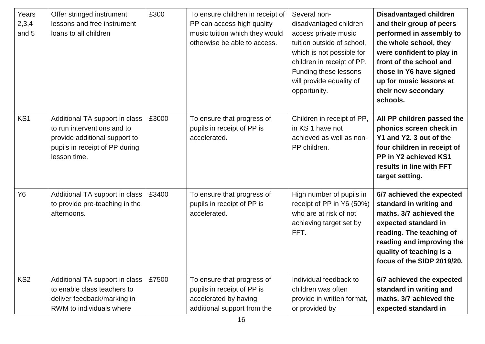| Years<br>2,3,4<br>and 5 | Offer stringed instrument<br>lessons and free instrument<br>loans to all children                                                                | £300  | To ensure children in receipt of<br>PP can access high quality<br>music tuition which they would<br>otherwise be able to access. | Several non-<br>disadvantaged children<br>access private music<br>tuition outside of school,<br>which is not possible for<br>children in receipt of PP.<br>Funding these lessons<br>will provide equality of<br>opportunity. | <b>Disadvantaged children</b><br>and their group of peers<br>performed in assembly to<br>the whole school, they<br>were confident to play in<br>front of the school and<br>those in Y6 have signed<br>up for music lessons at<br>their new secondary<br>schools. |
|-------------------------|--------------------------------------------------------------------------------------------------------------------------------------------------|-------|----------------------------------------------------------------------------------------------------------------------------------|------------------------------------------------------------------------------------------------------------------------------------------------------------------------------------------------------------------------------|------------------------------------------------------------------------------------------------------------------------------------------------------------------------------------------------------------------------------------------------------------------|
| KS1                     | Additional TA support in class<br>to run interventions and to<br>provide additional support to<br>pupils in receipt of PP during<br>lesson time. | £3000 | To ensure that progress of<br>pupils in receipt of PP is<br>accelerated.                                                         | Children in receipt of PP,<br>in KS 1 have not<br>achieved as well as non-<br>PP children.                                                                                                                                   | All PP children passed the<br>phonics screen check in<br>Y1 and Y2. 3 out of the<br>four children in receipt of<br>PP in Y2 achieved KS1<br>results in line with FFT<br>target setting.                                                                          |
| <b>Y6</b>               | Additional TA support in class<br>to provide pre-teaching in the<br>afternoons.                                                                  | £3400 | To ensure that progress of<br>pupils in receipt of PP is<br>accelerated.                                                         | High number of pupils in<br>receipt of PP in Y6 (50%)<br>who are at risk of not<br>achieving target set by<br>FFT.                                                                                                           | 6/7 achieved the expected<br>standard in writing and<br>maths. 3/7 achieved the<br>expected standard in<br>reading. The teaching of<br>reading and improving the<br>quality of teaching is a<br>focus of the SIDP 2019/20.                                       |
| KS <sub>2</sub>         | Additional TA support in class<br>to enable class teachers to<br>deliver feedback/marking in<br>RWM to individuals where                         | £7500 | To ensure that progress of<br>pupils in receipt of PP is<br>accelerated by having<br>additional support from the                 | Individual feedback to<br>children was often<br>provide in written format,<br>or provided by                                                                                                                                 | 6/7 achieved the expected<br>standard in writing and<br>maths, 3/7 achieved the<br>expected standard in                                                                                                                                                          |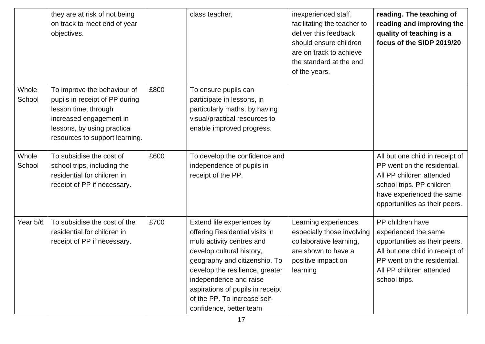|                 | they are at risk of not being<br>on track to meet end of year<br>objectives.                                                                                                      |      | class teacher,                                                                                                                                                                                                                                                                                                       | inexperienced staff,<br>facilitating the teacher to<br>deliver this feedback<br>should ensure children<br>are on track to achieve<br>the standard at the end<br>of the years. | reading. The teaching of<br>reading and improving the<br>quality of teaching is a<br>focus of the SIDP 2019/20                                                                           |
|-----------------|-----------------------------------------------------------------------------------------------------------------------------------------------------------------------------------|------|----------------------------------------------------------------------------------------------------------------------------------------------------------------------------------------------------------------------------------------------------------------------------------------------------------------------|-------------------------------------------------------------------------------------------------------------------------------------------------------------------------------|------------------------------------------------------------------------------------------------------------------------------------------------------------------------------------------|
| Whole<br>School | To improve the behaviour of<br>pupils in receipt of PP during<br>lesson time, through<br>increased engagement in<br>lessons, by using practical<br>resources to support learning. | £800 | To ensure pupils can<br>participate in lessons, in<br>particularly maths, by having<br>visual/practical resources to<br>enable improved progress.                                                                                                                                                                    |                                                                                                                                                                               |                                                                                                                                                                                          |
| Whole<br>School | To subsidise the cost of<br>school trips, including the<br>residential for children in<br>receipt of PP if necessary.                                                             | £600 | To develop the confidence and<br>independence of pupils in<br>receipt of the PP.                                                                                                                                                                                                                                     |                                                                                                                                                                               | All but one child in receipt of<br>PP went on the residential.<br>All PP children attended<br>school trips. PP children<br>have experienced the same<br>opportunities as their peers.    |
| Year 5/6        | To subsidise the cost of the<br>residential for children in<br>receipt of PP if necessary.                                                                                        | £700 | Extend life experiences by<br>offering Residential visits in<br>multi activity centres and<br>develop cultural history,<br>geography and citizenship. To<br>develop the resilience, greater<br>independence and raise<br>aspirations of pupils in receipt<br>of the PP. To increase self-<br>confidence, better team | Learning experiences,<br>especially those involving<br>collaborative learning,<br>are shown to have a<br>positive impact on<br>learning                                       | PP children have<br>experienced the same<br>opportunities as their peers.<br>All but one child in receipt of<br>PP went on the residential.<br>All PP children attended<br>school trips. |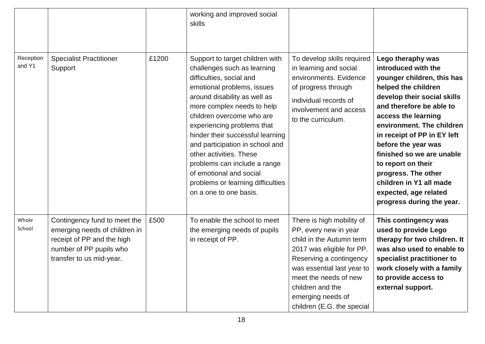|                     |                                                                                                                                                    |       | working and improved social<br>skills                                                                                                                                                                                                                                                                                                                                                                                                                                         |                                                                                                                                                                                                                                                                      |                                                                                                                                                                                                                                                                                                                                                                                                                               |
|---------------------|----------------------------------------------------------------------------------------------------------------------------------------------------|-------|-------------------------------------------------------------------------------------------------------------------------------------------------------------------------------------------------------------------------------------------------------------------------------------------------------------------------------------------------------------------------------------------------------------------------------------------------------------------------------|----------------------------------------------------------------------------------------------------------------------------------------------------------------------------------------------------------------------------------------------------------------------|-------------------------------------------------------------------------------------------------------------------------------------------------------------------------------------------------------------------------------------------------------------------------------------------------------------------------------------------------------------------------------------------------------------------------------|
| Reception<br>and Y1 | <b>Specialist Practitioner</b><br>Support                                                                                                          | £1200 | Support to target children with<br>challenges such as learning<br>difficulties, social and<br>emotional problems, issues<br>around disability as well as<br>more complex needs to help<br>children overcome who are<br>experiencing problems that<br>hinder their successful learning<br>and participation in school and<br>other activities. These<br>problems can include a range<br>of emotional and social<br>problems or learning difficulties<br>on a one to one basis. | To develop skills required<br>in learning and social<br>environments. Evidence<br>of progress through<br>individual records of<br>involvement and access<br>to the curriculum.                                                                                       | Lego theraphy was<br>introduced with the<br>younger children, this has<br>helped the children<br>develop their social skills<br>and therefore be able to<br>access the learning<br>environment. The children<br>in receipt of PP in EY left<br>before the year was<br>finished so we are unable<br>to report on their<br>progress. The other<br>children in Y1 all made<br>expected, age related<br>progress during the year. |
| Whole<br>School     | Contingency fund to meet the<br>emerging needs of children in<br>receipt of PP and the high<br>number of PP pupils who<br>transfer to us mid-year. | £500  | To enable the school to meet<br>the emerging needs of pupils<br>in receipt of PP.                                                                                                                                                                                                                                                                                                                                                                                             | There is high mobility of<br>PP, every new in year<br>child in the Autumn term<br>2017 was eligible for PP.<br>Reserving a contingency<br>was essential last year to<br>meet the needs of new<br>children and the<br>emerging needs of<br>children (E.G. the special | This contingency was<br>used to provide Lego<br>therapy for two children. It<br>was also used to enable to<br>specialist practitioner to<br>work closely with a family<br>to provide access to<br>external support.                                                                                                                                                                                                           |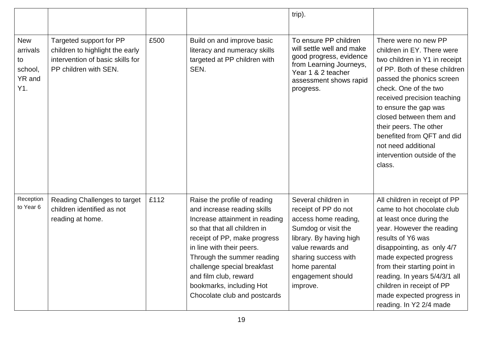|                                                          |                                                                                                                         |      |                                                                                                                                                                                                                                                                                                                                              | trip).                                                                                                                                                                                                               |                                                                                                                                                                                                                                                                                                                                                                                       |
|----------------------------------------------------------|-------------------------------------------------------------------------------------------------------------------------|------|----------------------------------------------------------------------------------------------------------------------------------------------------------------------------------------------------------------------------------------------------------------------------------------------------------------------------------------------|----------------------------------------------------------------------------------------------------------------------------------------------------------------------------------------------------------------------|---------------------------------------------------------------------------------------------------------------------------------------------------------------------------------------------------------------------------------------------------------------------------------------------------------------------------------------------------------------------------------------|
|                                                          |                                                                                                                         |      |                                                                                                                                                                                                                                                                                                                                              |                                                                                                                                                                                                                      |                                                                                                                                                                                                                                                                                                                                                                                       |
| <b>New</b><br>arrivals<br>to<br>school,<br>YR and<br>Y1. | Targeted support for PP<br>children to highlight the early<br>intervention of basic skills for<br>PP children with SEN. | £500 | Build on and improve basic<br>literacy and numeracy skills<br>targeted at PP children with<br>SEN.                                                                                                                                                                                                                                           | To ensure PP children<br>will settle well and make<br>good progress, evidence<br>from Learning Journeys,<br>Year 1 & 2 teacher<br>assessment shows rapid<br>progress.                                                | There were no new PP<br>children in EY. There were<br>two children in Y1 in receipt<br>of PP. Both of these children<br>passed the phonics screen<br>check. One of the two<br>received precision teaching<br>to ensure the gap was<br>closed between them and<br>their peers. The other<br>benefited from QFT and did<br>not need additional<br>intervention outside of the<br>class. |
| Reception<br>to Year 6                                   | Reading Challenges to target<br>children identified as not<br>reading at home.                                          | £112 | Raise the profile of reading<br>and increase reading skills<br>Increase attainment in reading<br>so that that all children in<br>receipt of PP, make progress<br>in line with their peers.<br>Through the summer reading<br>challenge special breakfast<br>and film club, reward<br>bookmarks, including Hot<br>Chocolate club and postcards | Several children in<br>receipt of PP do not<br>access home reading,<br>Sumdog or visit the<br>library. By having high<br>value rewards and<br>sharing success with<br>home parental<br>engagement should<br>improve. | All children in receipt of PP<br>came to hot chocolate club<br>at least once during the<br>year. However the reading<br>results of Y6 was<br>disappointing, as only 4/7<br>made expected progress<br>from their starting point in<br>reading. In years 5/4/3/1 all<br>children in receipt of PP<br>made expected progress in<br>reading. In Y2 2/4 made                               |